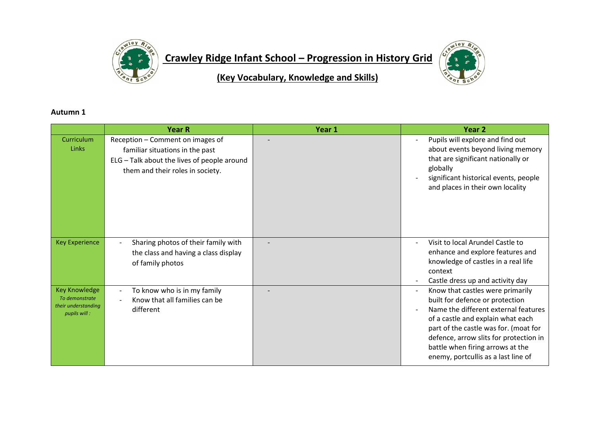

**Crawley Ridge Infant School – Progression in History Grid**



**(Key Vocabulary, Knowledge and Skills)**

## **Autumn 1**

|                                                                               | <b>Year R</b>                                                                                                                                          | Year 1 | Year 2                                                                                                                                                                                                                                                                                                         |
|-------------------------------------------------------------------------------|--------------------------------------------------------------------------------------------------------------------------------------------------------|--------|----------------------------------------------------------------------------------------------------------------------------------------------------------------------------------------------------------------------------------------------------------------------------------------------------------------|
| Curriculum<br>Links                                                           | Reception - Comment on images of<br>familiar situations in the past<br>ELG - Talk about the lives of people around<br>them and their roles in society. |        | Pupils will explore and find out<br>about events beyond living memory<br>that are significant nationally or<br>globally<br>significant historical events, people<br>and places in their own locality                                                                                                           |
| <b>Key Experience</b>                                                         | Sharing photos of their family with<br>the class and having a class display<br>of family photos                                                        |        | Visit to local Arundel Castle to<br>enhance and explore features and<br>knowledge of castles in a real life<br>context<br>Castle dress up and activity day                                                                                                                                                     |
| <b>Key Knowledge</b><br>To demonstrate<br>their understanding<br>pupils will: | To know who is in my family<br>Know that all families can be<br>different                                                                              |        | Know that castles were primarily<br>built for defence or protection<br>Name the different external features<br>of a castle and explain what each<br>part of the castle was for. (moat for<br>defence, arrow slits for protection in<br>battle when firing arrows at the<br>enemy, portcullis as a last line of |